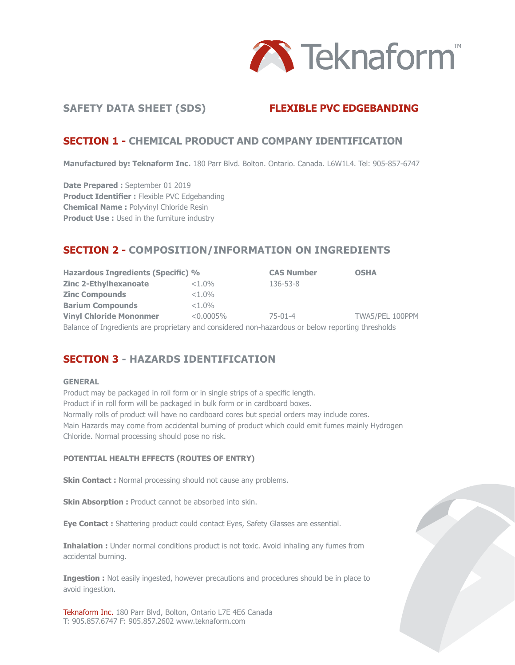

## **SAFETY DATA SHEET (SDS) FLEXIBLE PVC EDGEBANDING**

## **SECTION 1 - CHEMICAL PRODUCT AND COMPANY IDENTIFICATION**

**Manufactured by: Teknaform Inc.** 180 Parr Blvd. Bolton. Ontario. Canada. L6W1L4. Tel: 905-857-6747

**Date Prepared :** September 01 2019 **Product Identifier :** Flexible PVC Edgebanding **Chemical Name :** Polyvinyl Chloride Resin **Product Use :** Used in the furniture industry

# **SECTION 2 - COMPOSITION/INFORMATION ON INGREDIENTS**

**Hazardous Ingredients (Specific) % CAS Number OSHA Zinc 2-Ethylhexanoate**  $\leq 1.0\%$  136-53-8 **Zinc Compounds**  $\leq 1.0\%$ **Barium Compounds** <1.0% **Vinyl Chloride Mononmer** <0.0005% 75-01-4 TWA5/PEL 100PPM Balance of Ingredients are proprietary and considered non-hazardous or below reporting thresholds

# **SECTION 3 - HAZARDS IDENTIFICATION**

#### **GENERAL**

Product may be packaged in roll form or in single strips of a specific length. Product if in roll form will be packaged in bulk form or in cardboard boxes. Normally rolls of product will have no cardboard cores but special orders may include cores. Main Hazards may come from accidental burning of product which could emit fumes mainly Hydrogen Chloride. Normal processing should pose no risk.

#### **POTENTIAL HEALTH EFFECTS (ROUTES OF ENTRY)**

**Skin Contact :** Normal processing should not cause any problems.

**Skin Absorption :** Product cannot be absorbed into skin.

**Eye Contact :** Shattering product could contact Eyes, Safety Glasses are essential.

**Inhalation :** Under normal conditions product is not toxic. Avoid inhaling any fumes from accidental burning.

**Ingestion :** Not easily ingested, however precautions and procedures should be in place to avoid ingestion.

Teknaform Inc. 180 Parr Blvd, Bolton, Ontario L7E 4E6 Canada T: 905.857.6747 F: 905.857.2602 www.teknaform.com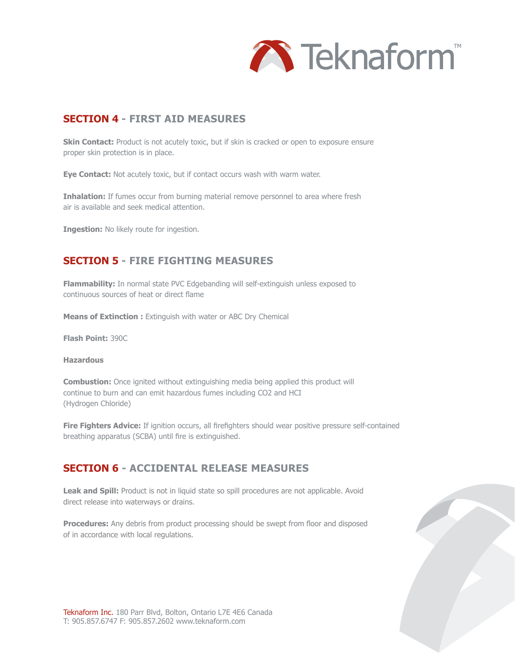

# **SECTION 4 - FIRST AID MEASURES**

**Skin Contact:** Product is not acutely toxic, but if skin is cracked or open to exposure ensure proper skin protection is in place.

**Eye Contact:** Not acutely toxic, but if contact occurs wash with warm water.

**Inhalation:** If fumes occur from burning material remove personnel to area where fresh air is available and seek medical attention.

**Ingestion:** No likely route for ingestion.

# **SECTION 5 - FIRE FIGHTING MEASURES**

**Flammability:** In normal state PVC Edgebanding will self-extinguish unless exposed to continuous sources of heat or direct flame

**Means of Extinction :** Extinguish with water or ABC Dry Chemical

**Flash Point:** 390C

#### **Hazardous**

**Combustion:** Once ignited without extinguishing media being applied this product will continue to burn and can emit hazardous fumes including CO2 and HCI (Hydrogen Chloride)

**Fire Fighters Advice:** If ignition occurs, all firefighters should wear positive pressure self-contained breathing apparatus (SCBA) until fire is extinguished.

# **SECTION 6 - ACCIDENTAL RELEASE MEASURES**

Leak and Spill: Product is not in liquid state so spill procedures are not applicable. Avoid direct release into waterways or drains.

**Procedures:** Any debris from product processing should be swept from floor and disposed of in accordance with local regulations.

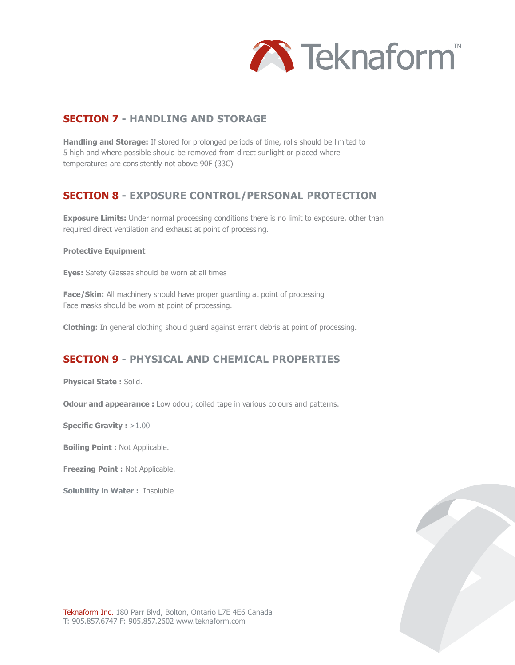

# **SECTION 7 - HANDLING AND STORAGE**

**Handling and Storage:** If stored for prolonged periods of time, rolls should be limited to 5 high and where possible should be removed from direct sunlight or placed where temperatures are consistently not above 90F (33C)

# **SECTION 8 - EXPOSURE CONTROL/PERSONAL PROTECTION**

**Exposure Limits:** Under normal processing conditions there is no limit to exposure, other than required direct ventilation and exhaust at point of processing.

### **Protective Equipment**

**Eyes:** Safety Glasses should be worn at all times

**Face/Skin:** All machinery should have proper quarding at point of processing Face masks should be worn at point of processing.

**Clothing:** In general clothing should guard against errant debris at point of processing.

# **SECTION 9 - PHYSICAL AND CHEMICAL PROPERTIES**

**Physical State :** Solid.

**Odour and appearance :** Low odour, coiled tape in various colours and patterns.

**Specific Gravity : >1.00** 

**Boiling Point :** Not Applicable.

**Freezing Point :** Not Applicable.

**Solubility in Water :** Insoluble

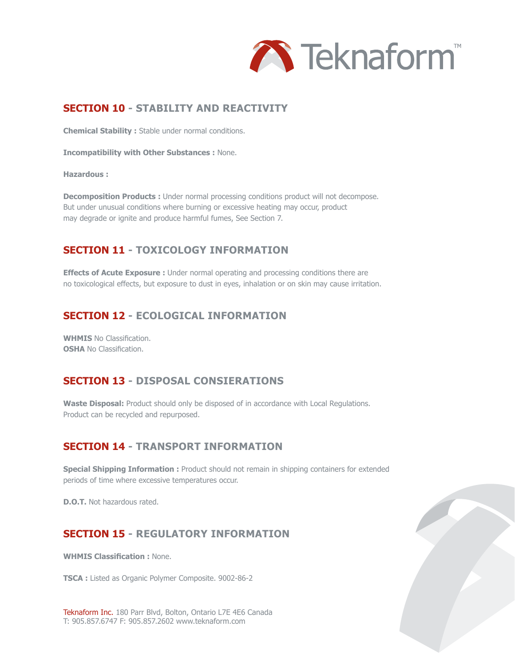

# **SECTION 10 - STABILITY AND REACTIVITY**

**Chemical Stability :** Stable under normal conditions.

**Incompatibility with Other Substances :** None.

#### **Hazardous :**

**Decomposition Products :** Under normal processing conditions product will not decompose. But under unusual conditions where burning or excessive heating may occur, product may degrade or ignite and produce harmful fumes, See Section 7.

# **SECTION 11 - TOXICOLOGY INFORMATION**

**Effects of Acute Exposure :** Under normal operating and processing conditions there are no toxicological effects, but exposure to dust in eyes, inhalation or on skin may cause irritation.

## **SECTION 12 - ECOLOGICAL INFORMATION**

**WHMIS** No Classification. **OSHA** No Classification.

# **SECTION 13 - DISPOSAL CONSIERATIONS**

**Waste Disposal:** Product should only be disposed of in accordance with Local Regulations. Product can be recycled and repurposed.

# **SECTION 14 - TRANSPORT INFORMATION**

**Special Shipping Information :** Product should not remain in shipping containers for extended periods of time where excessive temperatures occur.

**D.O.T.** Not hazardous rated.

# **SECTION 15 - REGULATORY INFORMATION**

**WHMIS Classification :** None.

**TSCA :** Listed as Organic Polymer Composite. 9002-86-2

Teknaform Inc. 180 Parr Blvd, Bolton, Ontario L7E 4E6 Canada T: 905.857.6747 F: 905.857.2602 www.teknaform.com